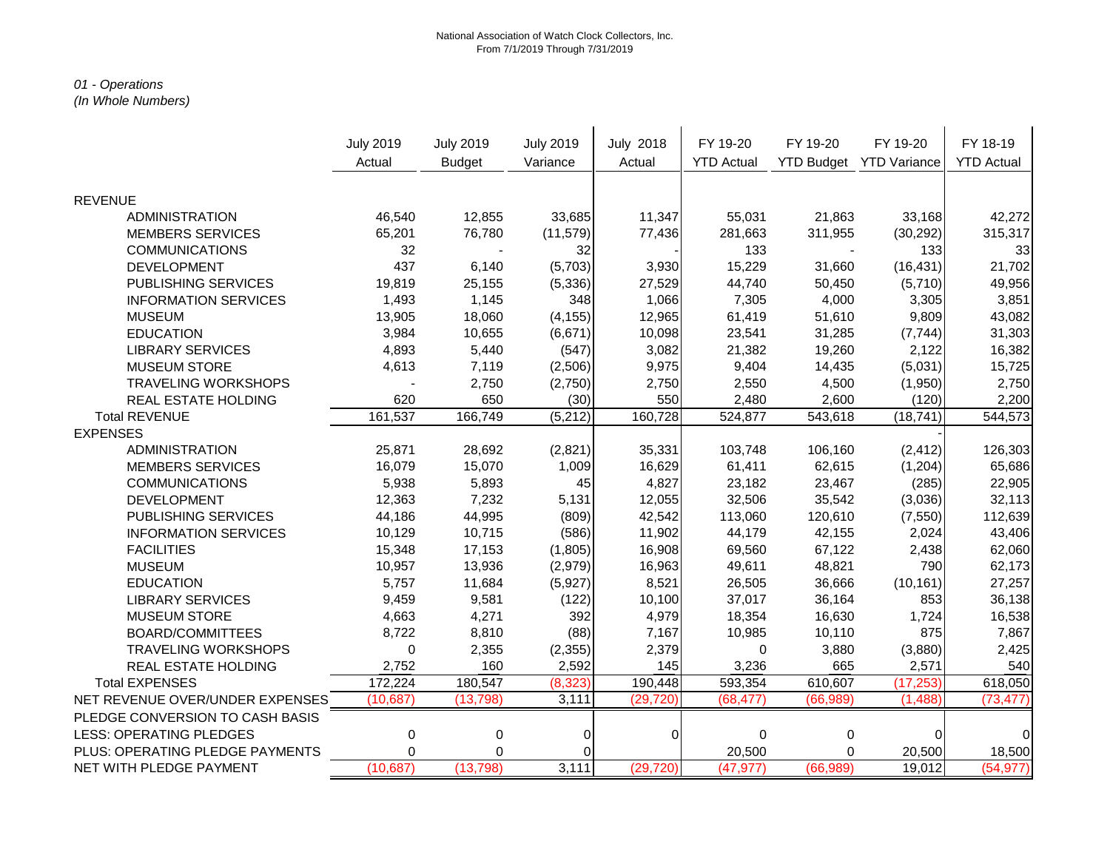# *01 - Operations*

*(In Whole Numbers)*

|                                 | <b>July 2019</b> | <b>July 2019</b> | <b>July 2019</b> | <b>July 2018</b> | FY 19-20          | FY 19-20          | FY 19-20            | FY 18-19          |
|---------------------------------|------------------|------------------|------------------|------------------|-------------------|-------------------|---------------------|-------------------|
|                                 | Actual           | <b>Budget</b>    | Variance         | Actual           | <b>YTD Actual</b> | <b>YTD Budget</b> | <b>YTD Variance</b> | <b>YTD Actual</b> |
|                                 |                  |                  |                  |                  |                   |                   |                     |                   |
| <b>REVENUE</b>                  |                  |                  |                  |                  |                   |                   |                     |                   |
| <b>ADMINISTRATION</b>           | 46,540           | 12,855           | 33,685           | 11,347           | 55,031            | 21,863            | 33,168              | 42,272            |
| <b>MEMBERS SERVICES</b>         | 65,201           | 76,780           | (11, 579)        | 77,436           | 281,663           | 311,955           | (30, 292)           | 315,317           |
| <b>COMMUNICATIONS</b>           | 32               |                  | 32               |                  | 133               |                   | 133                 | 33                |
| <b>DEVELOPMENT</b>              | 437              | 6,140            | (5,703)          | 3,930            | 15,229            | 31,660            | (16, 431)           | 21,702            |
| PUBLISHING SERVICES             | 19,819           | 25,155           | (5, 336)         | 27,529           | 44,740            | 50,450            | (5,710)             | 49,956            |
| <b>INFORMATION SERVICES</b>     | 1,493            | 1,145            | 348              | 1,066            | 7,305             | 4,000             | 3,305               | 3,851             |
| <b>MUSEUM</b>                   | 13,905           | 18,060           | (4, 155)         | 12,965           | 61,419            | 51,610            | 9,809               | 43,082            |
| <b>EDUCATION</b>                | 3,984            | 10,655           | (6,671)          | 10,098           | 23,541            | 31,285            | (7, 744)            | 31,303            |
| <b>LIBRARY SERVICES</b>         | 4,893            | 5,440            | (547)            | 3,082            | 21,382            | 19,260            | 2,122               | 16,382            |
| <b>MUSEUM STORE</b>             | 4,613            | 7,119            | (2,506)          | 9,975            | 9,404             | 14,435            | (5,031)             | 15,725            |
| <b>TRAVELING WORKSHOPS</b>      |                  | 2,750            | (2,750)          | 2,750            | 2,550             | 4,500             | (1,950)             | 2,750             |
| REAL ESTATE HOLDING             | 620              | 650              | (30)             | 550              | 2,480             | 2,600             | (120)               | 2,200             |
| <b>Total REVENUE</b>            | 161,537          | 166,749          | (5,212)          | 160,728          | 524,877           | 543,618           | (18, 741)           | 544,573           |
| <b>EXPENSES</b>                 |                  |                  |                  |                  |                   |                   |                     |                   |
| <b>ADMINISTRATION</b>           | 25,871           | 28,692           | (2,821)          | 35,331           | 103,748           | 106,160           | (2, 412)            | 126,303           |
| <b>MEMBERS SERVICES</b>         | 16,079           | 15,070           | 1,009            | 16,629           | 61,411            | 62,615            | (1,204)             | 65,686            |
| <b>COMMUNICATIONS</b>           | 5,938            | 5,893            | 45               | 4,827            | 23,182            | 23,467            | (285)               | 22,905            |
| <b>DEVELOPMENT</b>              | 12,363           | 7,232            | 5,131            | 12,055           | 32,506            | 35,542            | (3,036)             | 32,113            |
| PUBLISHING SERVICES             | 44,186           | 44,995           | (809)            | 42,542           | 113,060           | 120,610           | (7, 550)            | 112,639           |
| <b>INFORMATION SERVICES</b>     | 10,129           | 10,715           | (586)            | 11,902           | 44,179            | 42,155            | 2,024               | 43,406            |
| <b>FACILITIES</b>               | 15,348           | 17,153           | (1,805)          | 16,908           | 69,560            | 67,122            | 2,438               | 62,060            |
| <b>MUSEUM</b>                   | 10,957           | 13,936           | (2,979)          | 16,963           | 49,611            | 48,821            | 790                 | 62,173            |
| <b>EDUCATION</b>                | 5,757            | 11,684           | (5,927)          | 8,521            | 26,505            | 36,666            | (10, 161)           | 27,257            |
| <b>LIBRARY SERVICES</b>         | 9,459            | 9,581            | (122)            | 10,100           | 37,017            | 36,164            | 853                 | 36,138            |
| <b>MUSEUM STORE</b>             | 4,663            | 4,271            | 392              | 4,979            | 18,354            | 16,630            | 1,724               | 16,538            |
| <b>BOARD/COMMITTEES</b>         | 8,722            | 8,810            | (88)             | 7,167            | 10,985            | 10,110            | 875                 | 7,867             |
| <b>TRAVELING WORKSHOPS</b>      | $\pmb{0}$        | 2,355            | (2, 355)         | 2,379            | $\mathbf 0$       | 3,880             | (3,880)             | 2,425             |
| REAL ESTATE HOLDING             | 2,752            | 160              | 2,592            | 145              | 3,236             | 665               | 2,571               | 540               |
| <b>Total EXPENSES</b>           | 172,224          | 180,547          | (8, 323)         | 190,448          | 593,354           | 610,607           | (17, 253)           | 618,050           |
| NET REVENUE OVER/UNDER EXPENSES | (10, 687)        | (13, 798)        | 3,111            | (29, 720)        | (68, 477)         | (66, 989)         | (1, 488)            | (73, 477)         |
| PLEDGE CONVERSION TO CASH BASIS |                  |                  |                  |                  |                   |                   |                     |                   |
| <b>LESS: OPERATING PLEDGES</b>  | 0                | $\mathbf 0$      | 0                | 0                | 0                 | 0                 | $\Omega$            |                   |
| PLUS: OPERATING PLEDGE PAYMENTS | $\Omega$         | $\Omega$         |                  |                  | 20,500            | 0                 | 20,500              | 18,500            |
| NET WITH PLEDGE PAYMENT         | (10, 687)        | (13, 798)        | 3,111            | (29, 720)        | (47, 977)         | (66, 989)         | 19,012              | (54, 977)         |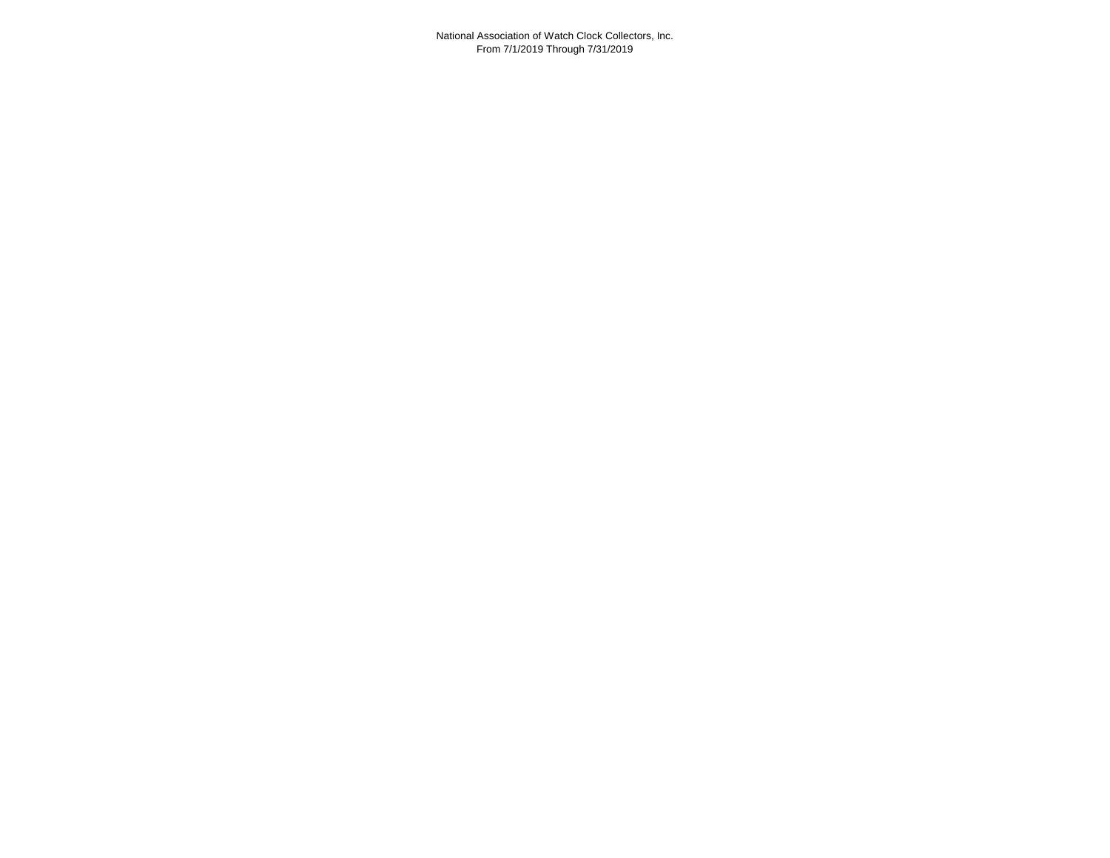National Association of Watch Clock Collectors, Inc. From 7/1/2019 Through 7/31/2019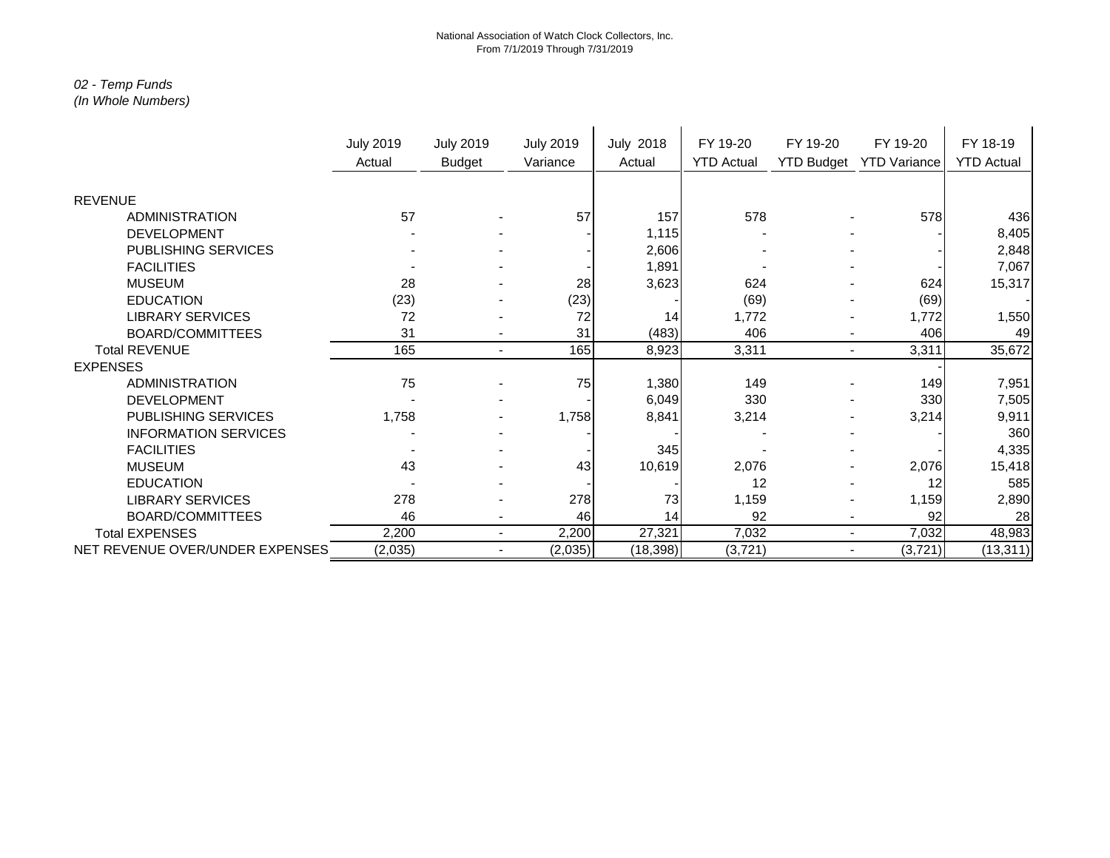# *02 - Temp Funds*

*(In Whole Numbers)*

|                                 | <b>July 2019</b> | <b>July 2019</b>         | <b>July 2019</b> | <b>July 2018</b> | FY 19-20          | FY 19-20                 | FY 19-20            | FY 18-19          |
|---------------------------------|------------------|--------------------------|------------------|------------------|-------------------|--------------------------|---------------------|-------------------|
|                                 | Actual           | <b>Budget</b>            | Variance         | Actual           | <b>YTD Actual</b> | <b>YTD Budget</b>        | <b>YTD Variance</b> | <b>YTD Actual</b> |
|                                 |                  |                          |                  |                  |                   |                          |                     |                   |
| <b>REVENUE</b>                  |                  |                          |                  |                  |                   |                          |                     |                   |
| <b>ADMINISTRATION</b>           | 57               |                          | 57               | 157              | 578               |                          | 578                 | 436               |
| <b>DEVELOPMENT</b>              |                  |                          |                  | 1,115            |                   |                          |                     | 8,405             |
| <b>PUBLISHING SERVICES</b>      |                  |                          |                  | 2,606            |                   |                          |                     | 2,848             |
| <b>FACILITIES</b>               |                  |                          |                  | 1,891            |                   |                          |                     | 7,067             |
| <b>MUSEUM</b>                   | 28               |                          | 28               | 3,623            | 624               |                          | 624                 | 15,317            |
| <b>EDUCATION</b>                | (23)             |                          | (23)             |                  | (69)              |                          | (69)                |                   |
| <b>LIBRARY SERVICES</b>         | 72               |                          | 72               | 14               | 1,772             |                          | 1,772               | 1,550             |
| <b>BOARD/COMMITTEES</b>         | 31               | $\blacksquare$           | 31               | (483)            | 406               | $\overline{\phantom{a}}$ | 406                 | 49                |
| <b>Total REVENUE</b>            | 165              | $\blacksquare$           | 165              | 8,923            | 3,311             | $\sim$                   | 3,311               | 35,672            |
| <b>EXPENSES</b>                 |                  |                          |                  |                  |                   |                          |                     |                   |
| <b>ADMINISTRATION</b>           | 75               |                          | 75               | 1,380            | 149               |                          | 149                 | 7,951             |
| <b>DEVELOPMENT</b>              |                  |                          |                  | 6,049            | 330               |                          | 330                 | 7,505             |
| PUBLISHING SERVICES             | 1,758            |                          | 1,758            | 8,841            | 3,214             | $\overline{\phantom{0}}$ | 3,214               | 9,911             |
| <b>INFORMATION SERVICES</b>     |                  |                          |                  |                  |                   |                          |                     | 360               |
| <b>FACILITIES</b>               |                  |                          |                  | 345              |                   |                          |                     | 4,335             |
| <b>MUSEUM</b>                   | 43               |                          | 43               | 10,619           | 2,076             | $\blacksquare$           | 2,076               | 15,418            |
| <b>EDUCATION</b>                |                  |                          |                  |                  | 12                |                          | 12                  | 585               |
| <b>LIBRARY SERVICES</b>         | 278              |                          | 278              | 73               | 1,159             | $\blacksquare$           | 1,159               | 2,890             |
| <b>BOARD/COMMITTEES</b>         | 46               | $\overline{\phantom{a}}$ | 46               | 14               | 92                | $\overline{\phantom{a}}$ | 92                  | 28                |
| <b>Total EXPENSES</b>           | 2,200            | $\blacksquare$           | 2,200            | 27,321           | 7,032             | $\sim$                   | 7,032               | 48,983            |
| NET REVENUE OVER/UNDER EXPENSES | (2,035)          | $\blacksquare$           | (2,035)          | (18, 398)        | (3,721)           | $\overline{\phantom{a}}$ | (3,721)             | (13, 311)         |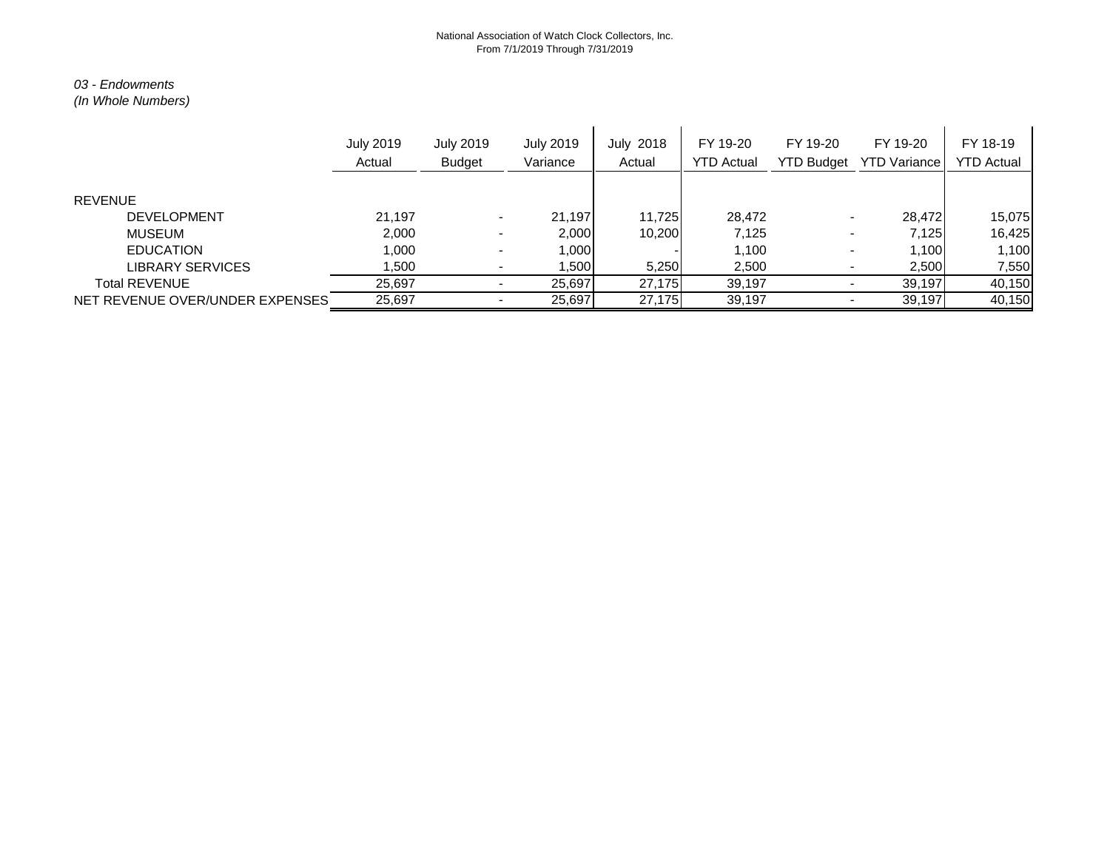## *03 - Endowments*

*(In Whole Numbers)*

|                                 | <b>July 2019</b><br>Actual | July 2019<br><b>Budget</b> | July 2019<br>Variance | <b>July 2018</b><br>Actual | FY 19-20<br><b>YTD Actual</b> | FY 19-20<br><b>YTD Budget</b> | FY 19-20<br><b>YTD Variance</b> | FY 18-19<br><b>YTD Actual</b> |
|---------------------------------|----------------------------|----------------------------|-----------------------|----------------------------|-------------------------------|-------------------------------|---------------------------------|-------------------------------|
| <b>REVENUE</b>                  |                            |                            |                       |                            |                               |                               |                                 |                               |
| <b>DEVELOPMENT</b>              | 21,197                     | $\blacksquare$             | 21,197                | 11,725                     | 28,472                        |                               | 28.472                          | 15,075                        |
| <b>MUSEUM</b>                   | 2,000                      | $\overline{\phantom{0}}$   | 2.000                 | 10.200                     | 7.125                         | $\overline{\phantom{a}}$      | 7.125                           | 16,425                        |
| <b>EDUCATION</b>                | 000. ا                     |                            | 1.000                 |                            | 1.100                         | $\overline{\phantom{a}}$      | 1.100                           | 1,100                         |
| LIBRARY SERVICES                | .500                       | $\overline{\phantom{0}}$   | 1,500                 | 5,250                      | 2,500                         |                               | 2,500                           | 7,550                         |
| <b>Total REVENUE</b>            | 25.697                     |                            | 25,697                | 27,175                     | 39.197                        |                               | 39.197                          | 40,150                        |
| NET REVENUE OVER/UNDER EXPENSES | 25,697                     |                            | 25,697                | 27,175                     | 39,197                        |                               | 39,197                          | 40,150                        |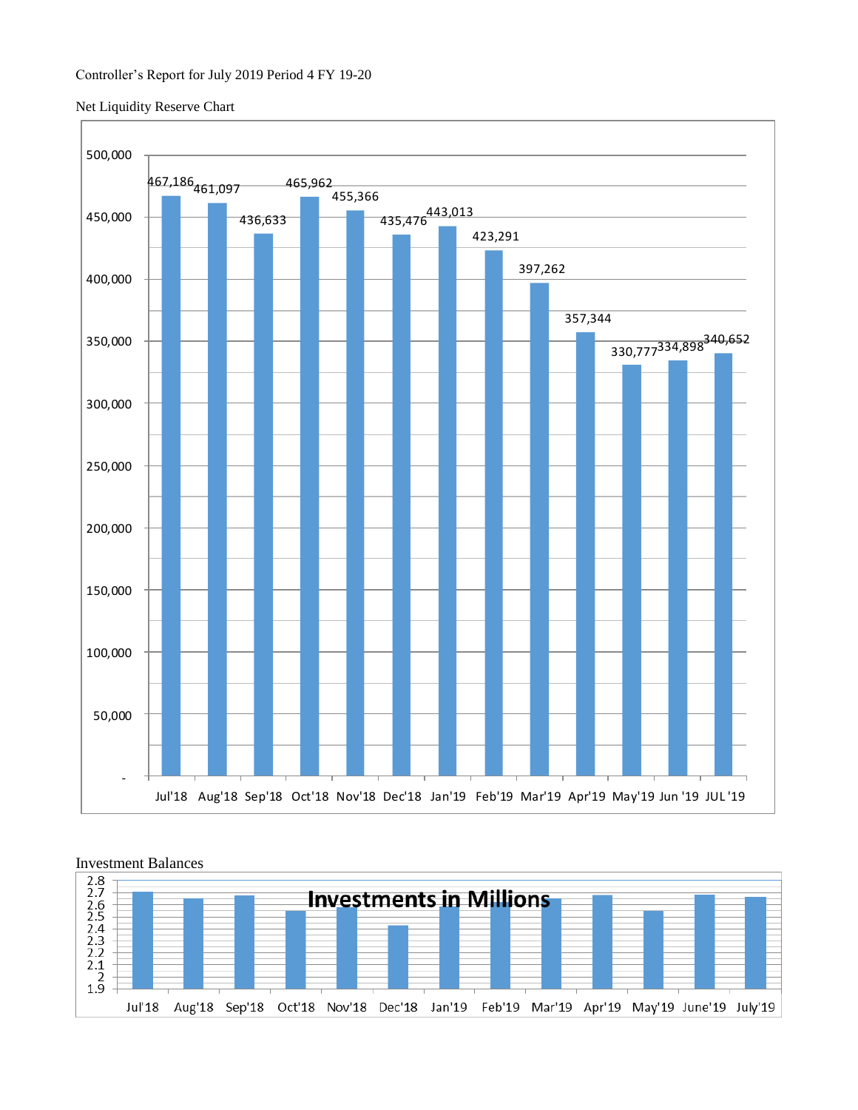### Net Liquidity Reserve Chart





#### Investment Balances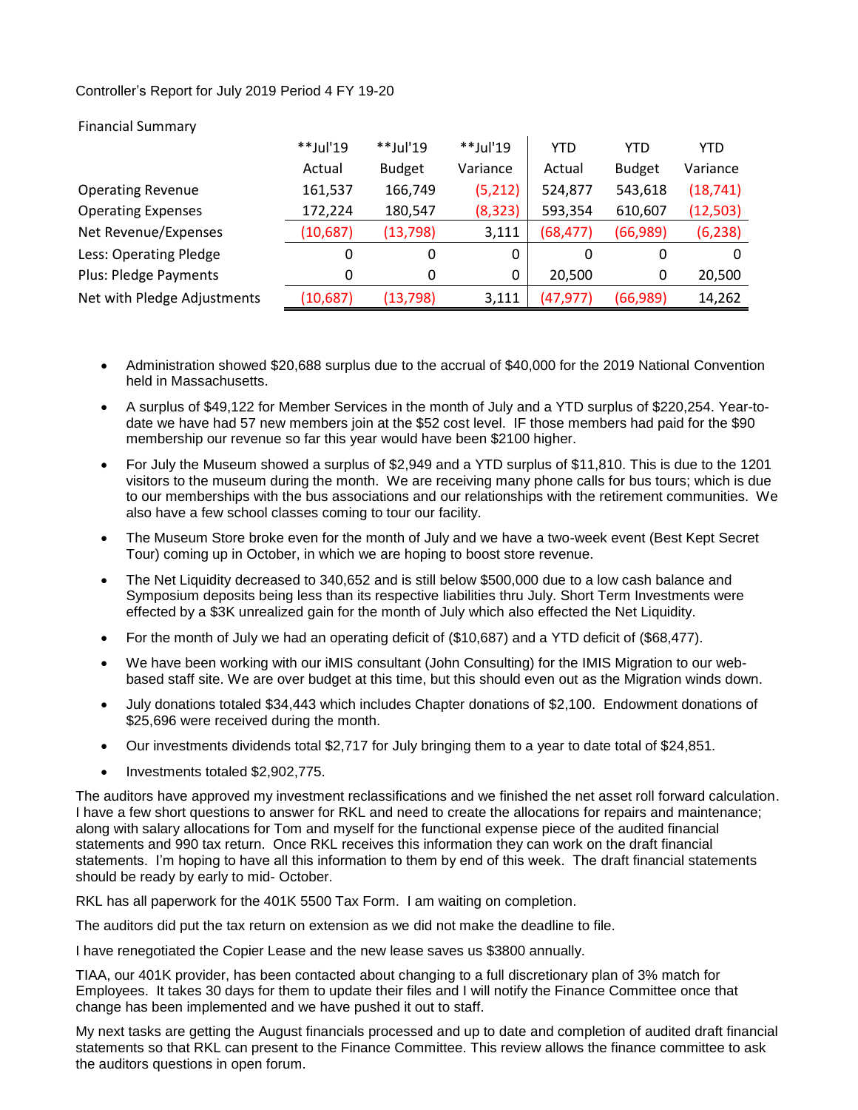### Controller's Report for July 2019 Period 4 FY 19-20

|                              | **Jul'19  | $*$ *Jul'19   | **Jul'19 | YTD       | <b>YTD</b>    | <b>YTD</b> |
|------------------------------|-----------|---------------|----------|-----------|---------------|------------|
|                              | Actual    | <b>Budget</b> | Variance | Actual    | <b>Budget</b> | Variance   |
| <b>Operating Revenue</b>     | 161,537   | 166,749       | (5,212)  | 524,877   | 543,618       | (18, 741)  |
| <b>Operating Expenses</b>    | 172,224   | 180,547       | (8, 323) | 593,354   | 610,607       | (12,503)   |
| Net Revenue/Expenses         | (10, 687) | (13, 798)     | 3,111    | (68, 477) | (66, 989)     | (6, 238)   |
| Less: Operating Pledge       | 0         | 0             | 0        | 0         | 0             | 0          |
| <b>Plus: Pledge Payments</b> | 0         | 0             | 0        | 20,500    | 0             | 20,500     |
| Net with Pledge Adjustments  | (10,687)  | (13, 798)     | 3,111    | (47, 977) | (66,989)      | 14,262     |

 Administration showed \$20,688 surplus due to the accrual of \$40,000 for the 2019 National Convention held in Massachusetts.

- A surplus of \$49,122 for Member Services in the month of July and a YTD surplus of \$220,254. Year-todate we have had 57 new members join at the \$52 cost level. IF those members had paid for the \$90 membership our revenue so far this year would have been \$2100 higher.
- For July the Museum showed a surplus of \$2,949 and a YTD surplus of \$11,810. This is due to the 1201 visitors to the museum during the month. We are receiving many phone calls for bus tours; which is due to our memberships with the bus associations and our relationships with the retirement communities. We also have a few school classes coming to tour our facility.
- The Museum Store broke even for the month of July and we have a two-week event (Best Kept Secret Tour) coming up in October, in which we are hoping to boost store revenue.
- The Net Liquidity decreased to 340,652 and is still below \$500,000 due to a low cash balance and Symposium deposits being less than its respective liabilities thru July. Short Term Investments were effected by a \$3K unrealized gain for the month of July which also effected the Net Liquidity.
- For the month of July we had an operating deficit of (\$10,687) and a YTD deficit of (\$68,477).
- We have been working with our iMIS consultant (John Consulting) for the IMIS Migration to our webbased staff site. We are over budget at this time, but this should even out as the Migration winds down.
- July donations totaled \$34,443 which includes Chapter donations of \$2,100. Endowment donations of \$25,696 were received during the month.
- Our investments dividends total \$2,717 for July bringing them to a year to date total of \$24,851.
- Investments totaled \$2,902,775.

The auditors have approved my investment reclassifications and we finished the net asset roll forward calculation. I have a few short questions to answer for RKL and need to create the allocations for repairs and maintenance; along with salary allocations for Tom and myself for the functional expense piece of the audited financial statements and 990 tax return. Once RKL receives this information they can work on the draft financial statements. I'm hoping to have all this information to them by end of this week. The draft financial statements should be ready by early to mid- October.

RKL has all paperwork for the 401K 5500 Tax Form. I am waiting on completion.

The auditors did put the tax return on extension as we did not make the deadline to file.

I have renegotiated the Copier Lease and the new lease saves us \$3800 annually.

TIAA, our 401K provider, has been contacted about changing to a full discretionary plan of 3% match for Employees. It takes 30 days for them to update their files and I will notify the Finance Committee once that change has been implemented and we have pushed it out to staff.

My next tasks are getting the August financials processed and up to date and completion of audited draft financial statements so that RKL can present to the Finance Committee. This review allows the finance committee to ask the auditors questions in open forum.

#### Financial Summary